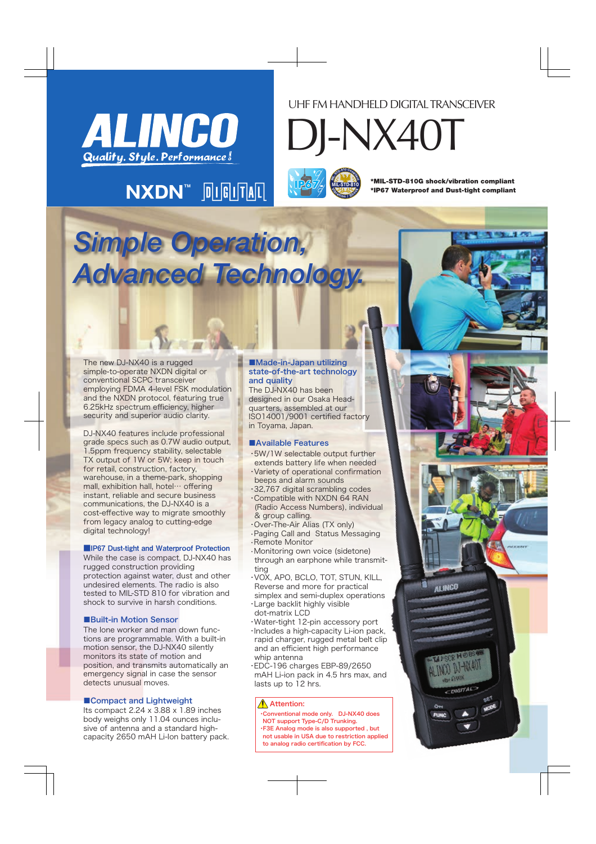

# UHF FM HANDHELD DIGITAL TRANSCEIVER

DJ-NX40T

**<sup>M</sup><sup>I</sup>L-STD-81<sup>0</sup> <sup>C</sup>omp<sup>l</sup>ian<sup>t</sup> <sup>V</sup><sup>i</sup>bratio<sup>n</sup> / <sup>S</sup>hoc<sup>k</sup> MIL-STD-810 IP67**

\*MIL-STD-810G shock/vibration compliant \*IP67 Waterproof and Dust-tight compliant

**The 1 PM** 

# *Simple Operation, Advanced Technology.*

 $N$ **XDN**<sup>M</sup>  $\text{N}$   $\text{N}$   $\text{N}$   $\text{N}$ 

The new DJ-NX40 is a rugged simple-to-operate NXDN digital or conventional SCPC transceiver employing FDMA 4-level FSK modulation and the NXDN protocol, featuring true 6.25kHz spectrum efficiency, higher security and superior audio clarity.

DJ-NX40 features include professional grade specs such as 0.7W audio output, 1.5ppm frequency stability, selectable TX output of 1W or 5W; keep in touch for retail, construction, factory, warehouse, in a theme-park, shopping mall, exhibition hall, hotel… offering instant, reliable and secure business communications, the DJ-NX40 is a cost-effective way to migrate smoothly from legacy analog to cutting-edge digital technology!

#### ■IP67 Dust-tight and Waterproof Protection

While the case is compact, DJ-NX40 has rugged construction providing protection against water, dust and other undesired elements. The radio is also tested to MIL-STD 810 for vibration and shock to survive in harsh conditions.

# ■Built-in Motion Sensor

The lone worker and man down functions are programmable. With a built-in motion sensor, the DJ-NX40 silently monitors its state of motion and position, and transmits automatically an emergency signal in case the sensor detects unusual moves.

# ■Compact and Lightweight

Its compact 2.24 x 3.88 x 1.89 inches body weighs only 11.04 ounces inclusive of antenna and a standard highcapacity 2650 mAH Li-Ion battery pack.

#### ■Made-in-Japan utilizing state-of-the-art technology and quality

The DJ-NX40 has been designed in our Osaka Headquarters, assembled at our ISO14001/9001 certified factory in Toyama, Japan.

# ■Available Features

- ・5W/1W selectable output further extends battery life when needed ・Variety of operational confirmation beeps and alarm sounds
- ・32,767 digital scrambling codes
- ・Compatible with NXDN 64 RAN (Radio Access Numbers), individual & group calling.
- ・Over-The-Air Alias (TX only) •Paging Call and Status Messaging •Remote Monitor
- •Monitoring own voice (sidetone) through an earphone while transmitting
- ・VOX, APO, BCLO, TOT, STUN, KILL, Reverse and more for practical
- simplex and semi-duplex operations ・Large backlit highly visible
- dot-matrix LCD
- ・Water-tight 12-pin accessory port ・Includes a high-capacity Li-ion pack, rapid charger, rugged metal belt clip and an efficient high performance whip antenna
- ・EDC-196 charges EBP-89/2650 mAH Li-ion pack in 4.5 hrs max, and lasts up to 12 hrs.

# $\bigwedge$  Attention:

・Conventional mode only. DJ-NX40 does NOT support Type-C/D Trunking. ・F3E Analog mode is also supported , but not usable in USA due to restriction applied

to analog radio certification by FCC.

**ALINCO** CDIGITAL